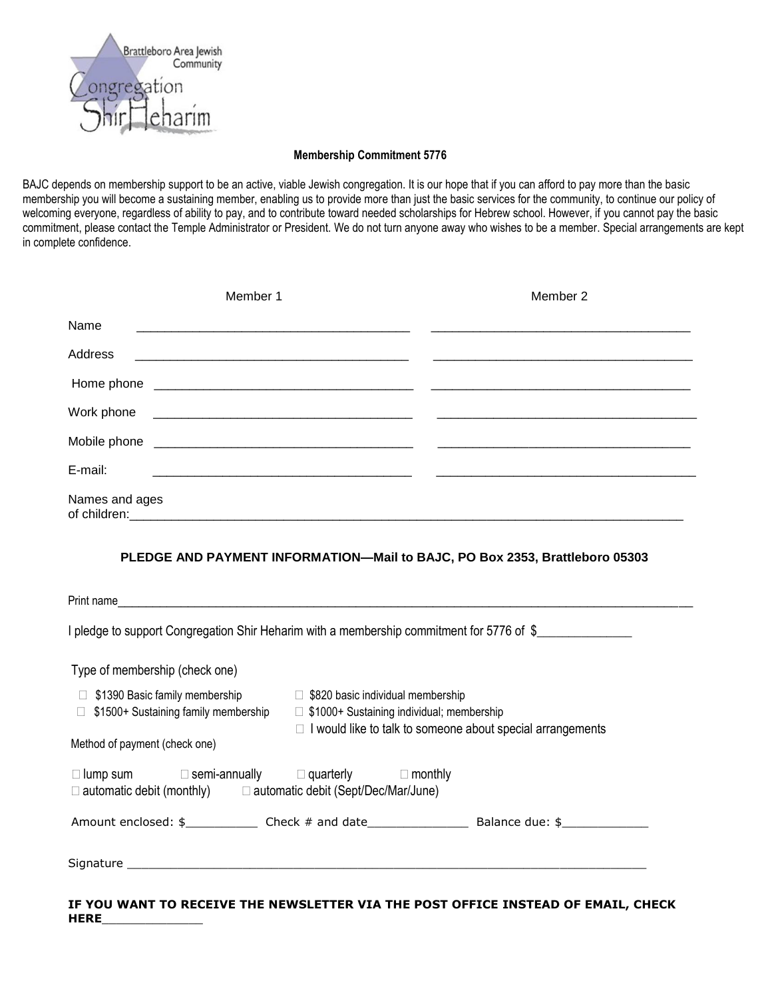

#### **Membership Commitment 5776**

BAJC depends on membership support to be an active, viable Jewish congregation. It is our hope that if you can afford to pay more than the basic membership you will become a sustaining member, enabling us to provide more than just the basic services for the community, to continue our policy of welcoming everyone, regardless of ability to pay, and to contribute toward needed scholarships for Hebrew school. However, if you cannot pay the basic commitment, please contact the Temple Administrator or President. We do not turn anyone away who wishes to be a member. Special arrangements are kept in complete confidence.

| Member 1                                                                                                                                            |                                                                                                                                                         | Member 2                                                                                                             |
|-----------------------------------------------------------------------------------------------------------------------------------------------------|---------------------------------------------------------------------------------------------------------------------------------------------------------|----------------------------------------------------------------------------------------------------------------------|
| Name<br><u> 1989 - Jan James James Barnett, fransk politik (d. 1989)</u>                                                                            |                                                                                                                                                         |                                                                                                                      |
| <b>Address</b>                                                                                                                                      |                                                                                                                                                         |                                                                                                                      |
|                                                                                                                                                     |                                                                                                                                                         |                                                                                                                      |
| Work phone                                                                                                                                          |                                                                                                                                                         | <u> 1999 - Jan James James James James James James James James James James James James James James James James J</u> |
|                                                                                                                                                     |                                                                                                                                                         |                                                                                                                      |
| E-mail:                                                                                                                                             |                                                                                                                                                         |                                                                                                                      |
| Names and ages                                                                                                                                      |                                                                                                                                                         |                                                                                                                      |
| Print name                                                                                                                                          | PLEDGE AND PAYMENT INFORMATION-Mail to BAJC, PO Box 2353, Brattleboro 05303                                                                             |                                                                                                                      |
| I pledge to support Congregation Shir Heharim with a membership commitment for 5776 of \$                                                           |                                                                                                                                                         |                                                                                                                      |
| Type of membership (check one)                                                                                                                      |                                                                                                                                                         |                                                                                                                      |
| \$1390 Basic family membership<br>$\Box$<br>\$1500+ Sustaining family membership<br>Method of payment (check one)                                   | □ \$820 basic individual membership<br>□ \$1000+ Sustaining individual; membership<br>$\Box$ I would like to talk to someone about special arrangements |                                                                                                                      |
| $\Box$ lump sum $\Box$ semi-annually $\Box$ quarterly $\Box$ monthly<br>$\Box$ automatic debit (monthly) $\Box$ automatic debit (Sept/Dec/Mar/June) |                                                                                                                                                         |                                                                                                                      |
|                                                                                                                                                     |                                                                                                                                                         |                                                                                                                      |
|                                                                                                                                                     |                                                                                                                                                         |                                                                                                                      |

**IF YOU WANT TO RECEIVE THE NEWSLETTER VIA THE POST OFFICE INSTEAD OF EMAIL, CHECK HERE**\_\_\_\_\_\_\_\_\_\_\_\_\_\_